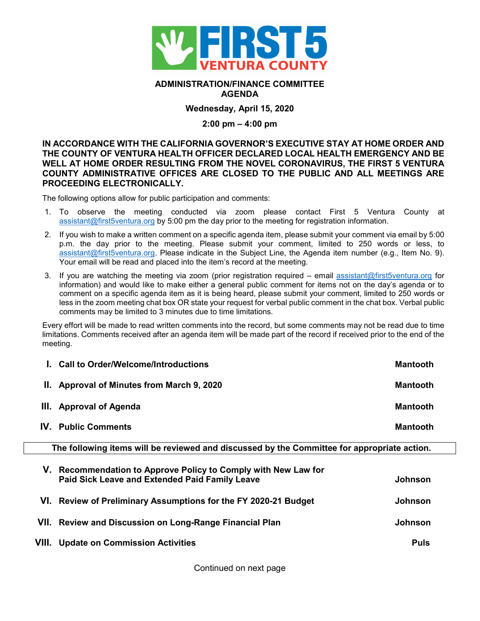

## **ADMINISTRATION/FINANCE COMMITTEE AGENDA**

# **Wednesday, April 15, 2020**

### **2:00 pm – 4:00 pm**

## **IN ACCORDANCE WITH THE CALIFORNIA GOVERNOR'S EXECUTIVE STAY AT HOME ORDER AND THE COUNTY OF VENTURA HEALTH OFFICER DECLARED LOCAL HEALTH EMERGENCY AND BE WELL AT HOME ORDER RESULTING FROM THE NOVEL CORONAVIRUS, THE FIRST 5 VENTURA COUNTY ADMINISTRATIVE OFFICES ARE CLOSED TO THE PUBLIC AND ALL MEETINGS ARE PROCEEDING ELECTRONICALLY.**

The following options allow for public participation and comments:

- 1. To observe the meeting conducted via zoom please contact First 5 Ventura County at [assistant@first5ventura.org](mailto:assistant@first5ventura.org) by 5:00 pm the day prior to the meeting for registration information.
- 2. If you wish to make a written comment on a specific agenda item, please submit your comment via email by 5:00 p.m. the day prior to the meeting. Please submit your comment, limited to 250 words or less, to [assistant@first5ventura.org.](mailto:assistant@first5ventura.org) Please indicate in the Subject Line, the Agenda item number (e.g., Item No. 9). Your email will be read and placed into the item's record at the meeting.
- 3. If you are watching the meeting via zoom (prior registration required email [assistant@first5ventura.org](mailto:assistant@first5ventura.org) for information) and would like to make either a general public comment for items not on the day's agenda or to comment on a specific agenda item as it is being heard, please submit your comment, limited to 250 words or less in the zoom meeting chat box OR state your request for verbal public comment in the chat box. Verbal public comments may be limited to 3 minutes due to time limitations.

Every effort will be made to read written comments into the record, but some comments may not be read due to time limitations. Comments received after an agenda item will be made part of the record if received prior to the end of the meeting.

| I. Call to Order/Welcome/Introductions     | <b>Mantooth</b> |
|--------------------------------------------|-----------------|
| II. Approval of Minutes from March 9, 2020 | <b>Mantooth</b> |
| III. Approval of Agenda                    | <b>Mantooth</b> |
| <b>IV.</b> Public Comments                 | <b>Mantooth</b> |

**The following items will be reviewed and discussed by the Committee for appropriate action.**

| V. | Recommendation to Approve Policy to Comply with New Law for<br>Paid Sick Leave and Extended Paid Family Leave | <b>Johnson</b> |
|----|---------------------------------------------------------------------------------------------------------------|----------------|
|    | VI. Review of Preliminary Assumptions for the FY 2020-21 Budget                                               | <b>Johnson</b> |
|    | VII. Review and Discussion on Long-Range Financial Plan                                                       | <b>Johnson</b> |
|    | <b>VIII. Update on Commission Activities</b>                                                                  | <b>Puls</b>    |

Continued on next page